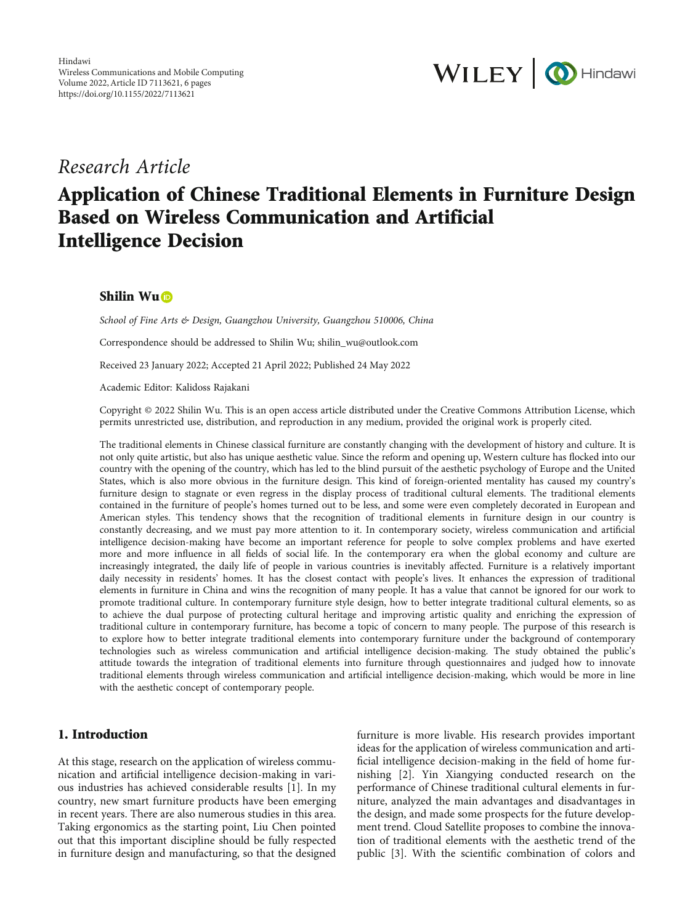

# Research Article

# Application of Chinese Traditional Elements in Furniture Design Based on Wireless Communication and Artificial Intelligence Decision

# Shilin Wu<sup>D</sup>

School of Fine Arts & Design, Guangzhou University, Guangzhou 510006, China

Correspondence should be addressed to Shilin Wu; shilin\_wu@outlook.com

Received 23 January 2022; Accepted 21 April 2022; Published 24 May 2022

Academic Editor: Kalidoss Rajakani

Copyright © 2022 Shilin Wu. This is an open access article distributed under the [Creative Commons Attribution License,](https://creativecommons.org/licenses/by/4.0/) which permits unrestricted use, distribution, and reproduction in any medium, provided the original work is properly cited.

The traditional elements in Chinese classical furniture are constantly changing with the development of history and culture. It is not only quite artistic, but also has unique aesthetic value. Since the reform and opening up, Western culture has flocked into our country with the opening of the country, which has led to the blind pursuit of the aesthetic psychology of Europe and the United States, which is also more obvious in the furniture design. This kind of foreign-oriented mentality has caused my country's furniture design to stagnate or even regress in the display process of traditional cultural elements. The traditional elements contained in the furniture of people's homes turned out to be less, and some were even completely decorated in European and American styles. This tendency shows that the recognition of traditional elements in furniture design in our country is constantly decreasing, and we must pay more attention to it. In contemporary society, wireless communication and artificial intelligence decision-making have become an important reference for people to solve complex problems and have exerted more and more influence in all fields of social life. In the contemporary era when the global economy and culture are increasingly integrated, the daily life of people in various countries is inevitably affected. Furniture is a relatively important daily necessity in residents' homes. It has the closest contact with people's lives. It enhances the expression of traditional elements in furniture in China and wins the recognition of many people. It has a value that cannot be ignored for our work to promote traditional culture. In contemporary furniture style design, how to better integrate traditional cultural elements, so as to achieve the dual purpose of protecting cultural heritage and improving artistic quality and enriching the expression of traditional culture in contemporary furniture, has become a topic of concern to many people. The purpose of this research is to explore how to better integrate traditional elements into contemporary furniture under the background of contemporary technologies such as wireless communication and artificial intelligence decision-making. The study obtained the public's attitude towards the integration of traditional elements into furniture through questionnaires and judged how to innovate traditional elements through wireless communication and artificial intelligence decision-making, which would be more in line with the aesthetic concept of contemporary people.

## 1. Introduction

At this stage, research on the application of wireless communication and artificial intelligence decision-making in various industries has achieved considerable results [[1\]](#page-4-0). In my country, new smart furniture products have been emerging in recent years. There are also numerous studies in this area. Taking ergonomics as the starting point, Liu Chen pointed out that this important discipline should be fully respected in furniture design and manufacturing, so that the designed

furniture is more livable. His research provides important ideas for the application of wireless communication and artificial intelligence decision-making in the field of home furnishing [\[2](#page-4-0)]. Yin Xiangying conducted research on the performance of Chinese traditional cultural elements in furniture, analyzed the main advantages and disadvantages in the design, and made some prospects for the future development trend. Cloud Satellite proposes to combine the innovation of traditional elements with the aesthetic trend of the public [[3\]](#page-4-0). With the scientific combination of colors and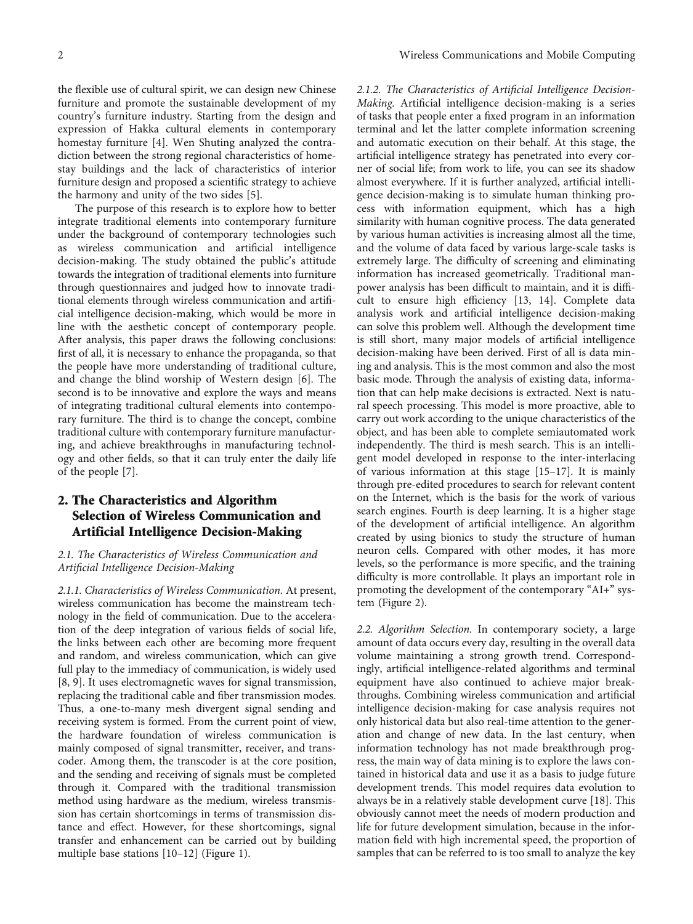the flexible use of cultural spirit, we can design new Chinese furniture and promote the sustainable development of my country's furniture industry. Starting from the design and expression of Hakka cultural elements in contemporary homestay furniture [\[4\]](#page-4-0). Wen Shuting analyzed the contradiction between the strong regional characteristics of homestay buildings and the lack of characteristics of interior furniture design and proposed a scientific strategy to achieve the harmony and unity of the two sides [[5\]](#page-4-0).

The purpose of this research is to explore how to better integrate traditional elements into contemporary furniture under the background of contemporary technologies such as wireless communication and artificial intelligence decision-making. The study obtained the public's attitude towards the integration of traditional elements into furniture through questionnaires and judged how to innovate traditional elements through wireless communication and artificial intelligence decision-making, which would be more in line with the aesthetic concept of contemporary people. After analysis, this paper draws the following conclusions: first of all, it is necessary to enhance the propaganda, so that the people have more understanding of traditional culture, and change the blind worship of Western design [[6\]](#page-4-0). The second is to be innovative and explore the ways and means of integrating traditional cultural elements into contemporary furniture. The third is to change the concept, combine traditional culture with contemporary furniture manufacturing, and achieve breakthroughs in manufacturing technology and other fields, so that it can truly enter the daily life of the people [\[7\]](#page-4-0).

# 2. The Characteristics and Algorithm Selection of Wireless Communication and Artificial Intelligence Decision-Making

## 2.1. The Characteristics of Wireless Communication and Artificial Intelligence Decision-Making

2.1.1. Characteristics of Wireless Communication. At present, wireless communication has become the mainstream technology in the field of communication. Due to the acceleration of the deep integration of various fields of social life, the links between each other are becoming more frequent and random, and wireless communication, which can give full play to the immediacy of communication, is widely used [\[8](#page-4-0), [9\]](#page-4-0). It uses electromagnetic waves for signal transmission, replacing the traditional cable and fiber transmission modes. Thus, a one-to-many mesh divergent signal sending and receiving system is formed. From the current point of view, the hardware foundation of wireless communication is mainly composed of signal transmitter, receiver, and transcoder. Among them, the transcoder is at the core position, and the sending and receiving of signals must be completed through it. Compared with the traditional transmission method using hardware as the medium, wireless transmission has certain shortcomings in terms of transmission distance and effect. However, for these shortcomings, signal transfer and enhancement can be carried out by building multiple base stations [[10](#page-4-0)–[12](#page-4-0)] (Figure [1](#page-2-0)).

2.1.2. The Characteristics of Artificial Intelligence Decision-Making. Artificial intelligence decision-making is a series of tasks that people enter a fixed program in an information terminal and let the latter complete information screening and automatic execution on their behalf. At this stage, the artificial intelligence strategy has penetrated into every corner of social life; from work to life, you can see its shadow almost everywhere. If it is further analyzed, artificial intelligence decision-making is to simulate human thinking process with information equipment, which has a high similarity with human cognitive process. The data generated by various human activities is increasing almost all the time, and the volume of data faced by various large-scale tasks is extremely large. The difficulty of screening and eliminating information has increased geometrically. Traditional manpower analysis has been difficult to maintain, and it is difficult to ensure high efficiency [\[13, 14\]](#page-4-0). Complete data analysis work and artificial intelligence decision-making can solve this problem well. Although the development time is still short, many major models of artificial intelligence decision-making have been derived. First of all is data mining and analysis. This is the most common and also the most basic mode. Through the analysis of existing data, information that can help make decisions is extracted. Next is natural speech processing. This model is more proactive, able to carry out work according to the unique characteristics of the object, and has been able to complete semiautomated work independently. The third is mesh search. This is an intelligent model developed in response to the inter-interlacing of various information at this stage [\[15](#page-5-0)–[17\]](#page-5-0). It is mainly through pre-edited procedures to search for relevant content on the Internet, which is the basis for the work of various search engines. Fourth is deep learning. It is a higher stage of the development of artificial intelligence. An algorithm created by using bionics to study the structure of human neuron cells. Compared with other modes, it has more levels, so the performance is more specific, and the training difficulty is more controllable. It plays an important role in promoting the development of the contemporary "AI+" system (Figure [2](#page-2-0)).

2.2. Algorithm Selection. In contemporary society, a large amount of data occurs every day, resulting in the overall data volume maintaining a strong growth trend. Correspondingly, artificial intelligence-related algorithms and terminal equipment have also continued to achieve major breakthroughs. Combining wireless communication and artificial intelligence decision-making for case analysis requires not only historical data but also real-time attention to the generation and change of new data. In the last century, when information technology has not made breakthrough progress, the main way of data mining is to explore the laws contained in historical data and use it as a basis to judge future development trends. This model requires data evolution to always be in a relatively stable development curve [\[18\]](#page-5-0). This obviously cannot meet the needs of modern production and life for future development simulation, because in the information field with high incremental speed, the proportion of samples that can be referred to is too small to analyze the key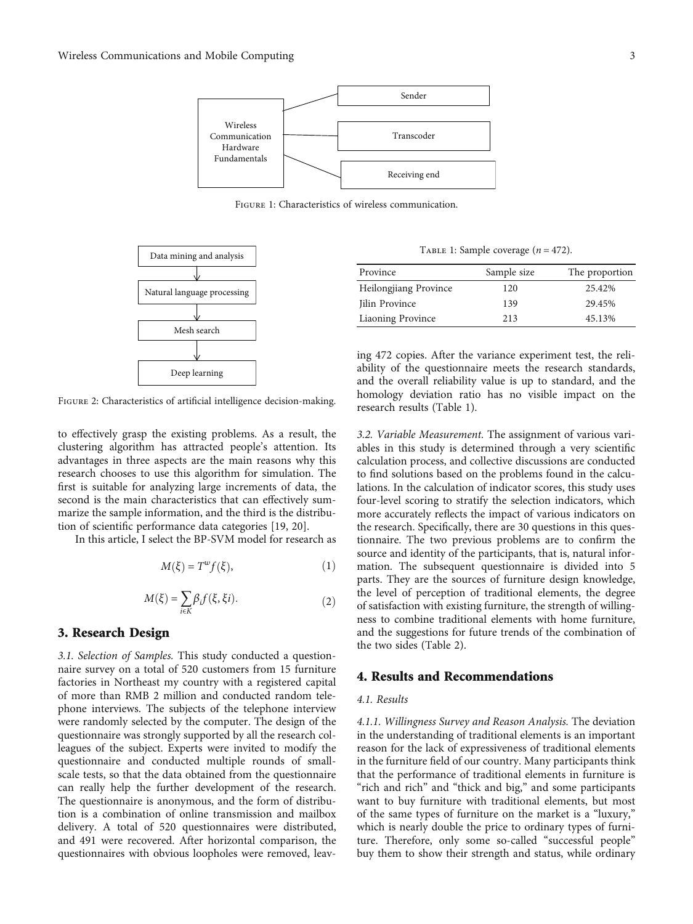<span id="page-2-0"></span>

Figure 1: Characteristics of wireless communication.



FIGURE 2: Characteristics of artificial intelligence decision-making.

to effectively grasp the existing problems. As a result, the clustering algorithm has attracted people's attention. Its advantages in three aspects are the main reasons why this research chooses to use this algorithm for simulation. The first is suitable for analyzing large increments of data, the second is the main characteristics that can effectively summarize the sample information, and the third is the distribution of scientific performance data categories [[19](#page-5-0), [20](#page-5-0)].

In this article, I select the BP-SVM model for research as

$$
M(\xi) = T^w f(\xi),\tag{1}
$$

$$
M(\xi) = \sum_{i \in K} \beta_i f(\xi, \xi i). \tag{2}
$$

# 3. Research Design

3.1. Selection of Samples. This study conducted a questionnaire survey on a total of 520 customers from 15 furniture factories in Northeast my country with a registered capital of more than RMB 2 million and conducted random telephone interviews. The subjects of the telephone interview were randomly selected by the computer. The design of the questionnaire was strongly supported by all the research colleagues of the subject. Experts were invited to modify the questionnaire and conducted multiple rounds of smallscale tests, so that the data obtained from the questionnaire can really help the further development of the research. The questionnaire is anonymous, and the form of distribution is a combination of online transmission and mailbox delivery. A total of 520 questionnaires were distributed, and 491 were recovered. After horizontal comparison, the questionnaires with obvious loopholes were removed, leav-

TABLE 1: Sample coverage  $(n = 472)$ .

| Province                 | Sample size | The proportion |
|--------------------------|-------------|----------------|
| Heilongjiang Province    | 120         | 25.42%         |
| Jilin Province           | 139         | 29.45%         |
| <b>Liaoning Province</b> | 213         | 45.13%         |

ing 472 copies. After the variance experiment test, the reliability of the questionnaire meets the research standards, and the overall reliability value is up to standard, and the homology deviation ratio has no visible impact on the research results (Table 1).

3.2. Variable Measurement. The assignment of various variables in this study is determined through a very scientific calculation process, and collective discussions are conducted to find solutions based on the problems found in the calculations. In the calculation of indicator scores, this study uses four-level scoring to stratify the selection indicators, which more accurately reflects the impact of various indicators on the research. Specifically, there are 30 questions in this questionnaire. The two previous problems are to confirm the source and identity of the participants, that is, natural information. The subsequent questionnaire is divided into 5 parts. They are the sources of furniture design knowledge, the level of perception of traditional elements, the degree of satisfaction with existing furniture, the strength of willingness to combine traditional elements with home furniture, and the suggestions for future trends of the combination of the two sides (Table [2](#page-3-0)).

## 4. Results and Recommendations

#### 4.1. Results

4.1.1. Willingness Survey and Reason Analysis. The deviation in the understanding of traditional elements is an important reason for the lack of expressiveness of traditional elements in the furniture field of our country. Many participants think that the performance of traditional elements in furniture is "rich and rich" and "thick and big," and some participants want to buy furniture with traditional elements, but most of the same types of furniture on the market is a "luxury," which is nearly double the price to ordinary types of furniture. Therefore, only some so-called "successful people" buy them to show their strength and status, while ordinary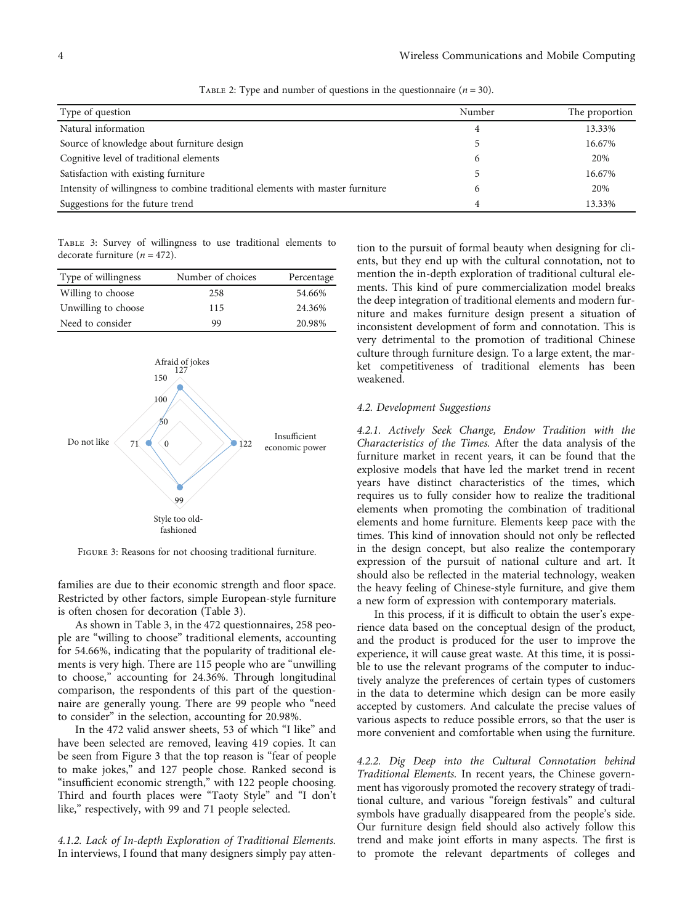<span id="page-3-0"></span>

| Type of question                                                               | Number | The proportion |
|--------------------------------------------------------------------------------|--------|----------------|
| Natural information                                                            | 4      | 13.33%         |
| Source of knowledge about furniture design                                     |        | 16.67%         |
| Cognitive level of traditional elements                                        | 6      | 20%            |
| Satisfaction with existing furniture                                           |        | 16.67%         |
| Intensity of willingness to combine traditional elements with master furniture | 6      | 20%            |
| Suggestions for the future trend                                               | 4      | 13.33%         |

TABLE 2: Type and number of questions in the questionnaire  $(n = 30)$ .

Table 3: Survey of willingness to use traditional elements to decorate furniture (*n* = 472).

| Type of willingness | Number of choices | Percentage |
|---------------------|-------------------|------------|
| Willing to choose   | 258               | 54.66%     |
| Unwilling to choose | 115               | 24.36%     |
| Need to consider    | 99                | 20.98%     |



Figure 3: Reasons for not choosing traditional furniture.

families are due to their economic strength and floor space. Restricted by other factors, simple European-style furniture is often chosen for decoration (Table 3).

As shown in Table 3, in the 472 questionnaires, 258 people are "willing to choose" traditional elements, accounting for 54.66%, indicating that the popularity of traditional elements is very high. There are 115 people who are "unwilling to choose," accounting for 24.36%. Through longitudinal comparison, the respondents of this part of the questionnaire are generally young. There are 99 people who "need to consider" in the selection, accounting for 20.98%.

In the 472 valid answer sheets, 53 of which "I like" and have been selected are removed, leaving 419 copies. It can be seen from Figure 3 that the top reason is "fear of people to make jokes," and 127 people chose. Ranked second is "insufficient economic strength," with 122 people choosing. Third and fourth places were "Taoty Style" and "I don't like," respectively, with 99 and 71 people selected.

4.1.2. Lack of In-depth Exploration of Traditional Elements. In interviews, I found that many designers simply pay atten-

tion to the pursuit of formal beauty when designing for clients, but they end up with the cultural connotation, not to mention the in-depth exploration of traditional cultural elements. This kind of pure commercialization model breaks the deep integration of traditional elements and modern furniture and makes furniture design present a situation of inconsistent development of form and connotation. This is very detrimental to the promotion of traditional Chinese culture through furniture design. To a large extent, the market competitiveness of traditional elements has been weakened.

### 4.2. Development Suggestions

4.2.1. Actively Seek Change, Endow Tradition with the Characteristics of the Times. After the data analysis of the furniture market in recent years, it can be found that the explosive models that have led the market trend in recent years have distinct characteristics of the times, which requires us to fully consider how to realize the traditional elements when promoting the combination of traditional elements and home furniture. Elements keep pace with the times. This kind of innovation should not only be reflected in the design concept, but also realize the contemporary expression of the pursuit of national culture and art. It should also be reflected in the material technology, weaken the heavy feeling of Chinese-style furniture, and give them a new form of expression with contemporary materials.

In this process, if it is difficult to obtain the user's experience data based on the conceptual design of the product, and the product is produced for the user to improve the experience, it will cause great waste. At this time, it is possible to use the relevant programs of the computer to inductively analyze the preferences of certain types of customers in the data to determine which design can be more easily accepted by customers. And calculate the precise values of various aspects to reduce possible errors, so that the user is more convenient and comfortable when using the furniture.

4.2.2. Dig Deep into the Cultural Connotation behind Traditional Elements. In recent years, the Chinese government has vigorously promoted the recovery strategy of traditional culture, and various "foreign festivals" and cultural symbols have gradually disappeared from the people's side. Our furniture design field should also actively follow this trend and make joint efforts in many aspects. The first is to promote the relevant departments of colleges and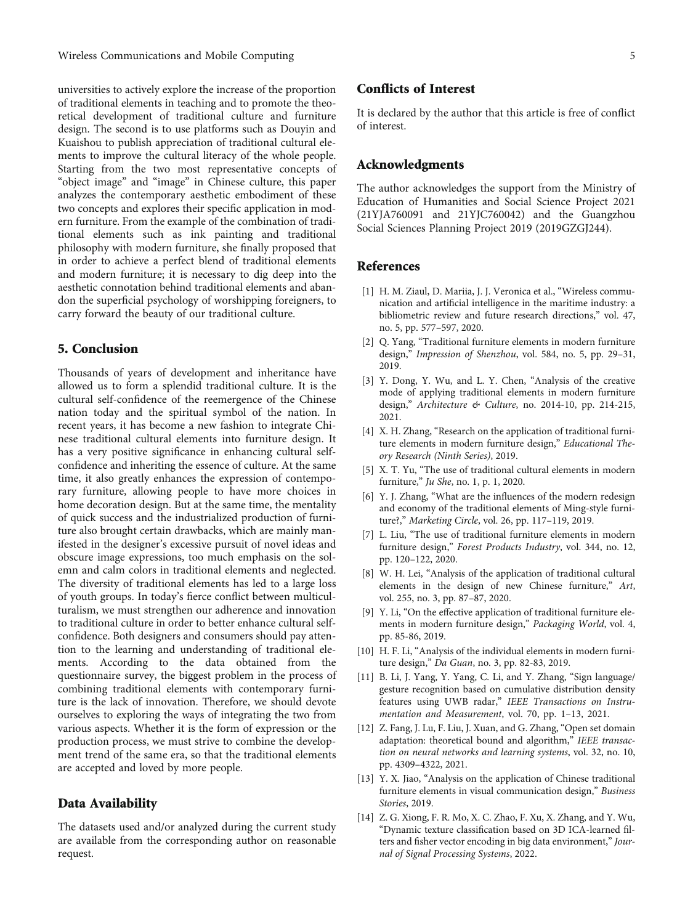<span id="page-4-0"></span>universities to actively explore the increase of the proportion of traditional elements in teaching and to promote the theoretical development of traditional culture and furniture design. The second is to use platforms such as Douyin and Kuaishou to publish appreciation of traditional cultural elements to improve the cultural literacy of the whole people. Starting from the two most representative concepts of "object image" and "image" in Chinese culture, this paper analyzes the contemporary aesthetic embodiment of these two concepts and explores their specific application in modern furniture. From the example of the combination of traditional elements such as ink painting and traditional philosophy with modern furniture, she finally proposed that in order to achieve a perfect blend of traditional elements and modern furniture; it is necessary to dig deep into the aesthetic connotation behind traditional elements and abandon the superficial psychology of worshipping foreigners, to carry forward the beauty of our traditional culture.

## 5. Conclusion

Thousands of years of development and inheritance have allowed us to form a splendid traditional culture. It is the cultural self-confidence of the reemergence of the Chinese nation today and the spiritual symbol of the nation. In recent years, it has become a new fashion to integrate Chinese traditional cultural elements into furniture design. It has a very positive significance in enhancing cultural selfconfidence and inheriting the essence of culture. At the same time, it also greatly enhances the expression of contemporary furniture, allowing people to have more choices in home decoration design. But at the same time, the mentality of quick success and the industrialized production of furniture also brought certain drawbacks, which are mainly manifested in the designer's excessive pursuit of novel ideas and obscure image expressions, too much emphasis on the solemn and calm colors in traditional elements and neglected. The diversity of traditional elements has led to a large loss of youth groups. In today's fierce conflict between multiculturalism, we must strengthen our adherence and innovation to traditional culture in order to better enhance cultural selfconfidence. Both designers and consumers should pay attention to the learning and understanding of traditional elements. According to the data obtained from the questionnaire survey, the biggest problem in the process of combining traditional elements with contemporary furniture is the lack of innovation. Therefore, we should devote ourselves to exploring the ways of integrating the two from various aspects. Whether it is the form of expression or the production process, we must strive to combine the development trend of the same era, so that the traditional elements are accepted and loved by more people.

## Data Availability

The datasets used and/or analyzed during the current study are available from the corresponding author on reasonable request.

# Conflicts of Interest

It is declared by the author that this article is free of conflict of interest.

## Acknowledgments

The author acknowledges the support from the Ministry of Education of Humanities and Social Science Project 2021 (21YJA760091 and 21YJC760042) and the Guangzhou Social Sciences Planning Project 2019 (2019GZGJ244).

## References

- [1] H. M. Ziaul, D. Mariia, J. J. Veronica et al., "Wireless communication and artificial intelligence in the maritime industry: a bibliometric review and future research directions," vol. 47, no. 5, pp. 577–597, 2020.
- [2] Q. Yang, "Traditional furniture elements in modern furniture design," Impression of Shenzhou, vol. 584, no. 5, pp. 29–31, 2019.
- [3] Y. Dong, Y. Wu, and L. Y. Chen, "Analysis of the creative mode of applying traditional elements in modern furniture design," Architecture & Culture, no. 2014-10, pp. 214-215, 2021.
- [4] X. H. Zhang, "Research on the application of traditional furniture elements in modern furniture design," Educational Theory Research (Ninth Series), 2019.
- [5] X. T. Yu, "The use of traditional cultural elements in modern furniture," Ju She, no. 1, p. 1, 2020.
- [6] Y. J. Zhang, "What are the influences of the modern redesign and economy of the traditional elements of Ming-style furniture?," Marketing Circle, vol. 26, pp. 117–119, 2019.
- [7] L. Liu, "The use of traditional furniture elements in modern furniture design," Forest Products Industry, vol. 344, no. 12, pp. 120–122, 2020.
- [8] W. H. Lei, "Analysis of the application of traditional cultural elements in the design of new Chinese furniture," Art, vol. 255, no. 3, pp. 87–87, 2020.
- [9] Y. Li, "On the effective application of traditional furniture elements in modern furniture design," Packaging World, vol. 4, pp. 85-86, 2019.
- [10] H. F. Li, "Analysis of the individual elements in modern furniture design," Da Guan, no. 3, pp. 82-83, 2019.
- [11] B. Li, J. Yang, Y. Yang, C. Li, and Y. Zhang, "Sign language/ gesture recognition based on cumulative distribution density features using UWB radar," IEEE Transactions on Instrumentation and Measurement, vol. 70, pp. 1–13, 2021.
- [12] Z. Fang, J. Lu, F. Liu, J. Xuan, and G. Zhang, "Open set domain adaptation: theoretical bound and algorithm," IEEE transaction on neural networks and learning systems, vol. 32, no. 10, pp. 4309–4322, 2021.
- [13] Y. X. Jiao, "Analysis on the application of Chinese traditional furniture elements in visual communication design," Business Stories, 2019.
- [14] Z. G. Xiong, F. R. Mo, X. C. Zhao, F. Xu, X. Zhang, and Y. Wu, "Dynamic texture classification based on 3D ICA-learned filters and fisher vector encoding in big data environment," Journal of Signal Processing Systems, 2022.